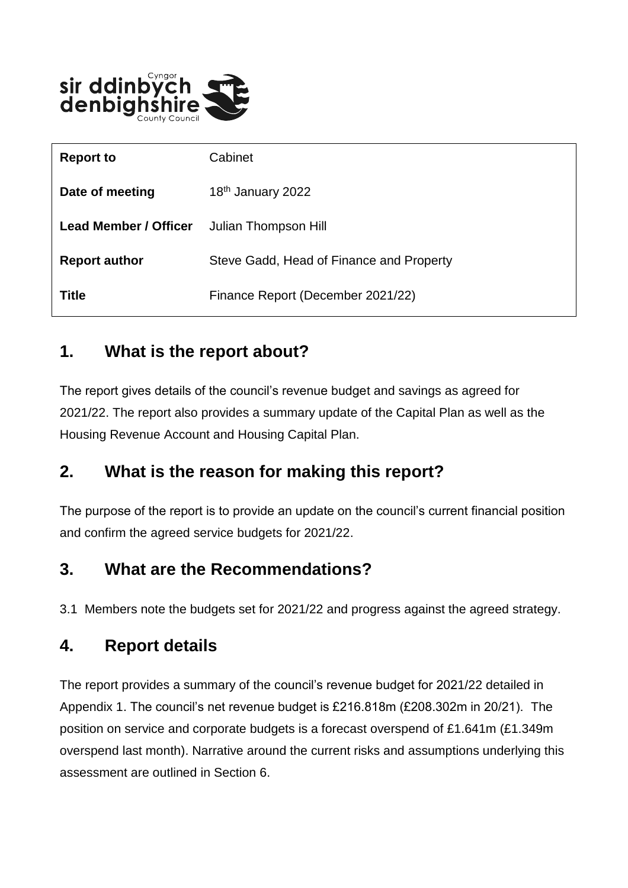

| <b>Report to</b>             | Cabinet                                  |
|------------------------------|------------------------------------------|
| Date of meeting              | 18 <sup>th</sup> January 2022            |
| <b>Lead Member / Officer</b> | Julian Thompson Hill                     |
| <b>Report author</b>         | Steve Gadd, Head of Finance and Property |
| <b>Title</b>                 | Finance Report (December 2021/22)        |

### **1. What is the report about?**

The report gives details of the council's revenue budget and savings as agreed for 2021/22. The report also provides a summary update of the Capital Plan as well as the Housing Revenue Account and Housing Capital Plan.

### **2. What is the reason for making this report?**

The purpose of the report is to provide an update on the council's current financial position and confirm the agreed service budgets for 2021/22.

### **3. What are the Recommendations?**

3.1 Members note the budgets set for 2021/22 and progress against the agreed strategy.

#### **4. Report details**

The report provides a summary of the council's revenue budget for 2021/22 detailed in Appendix 1. The council's net revenue budget is £216.818m (£208.302m in 20/21). The position on service and corporate budgets is a forecast overspend of £1.641m (£1.349m overspend last month). Narrative around the current risks and assumptions underlying this assessment are outlined in Section 6.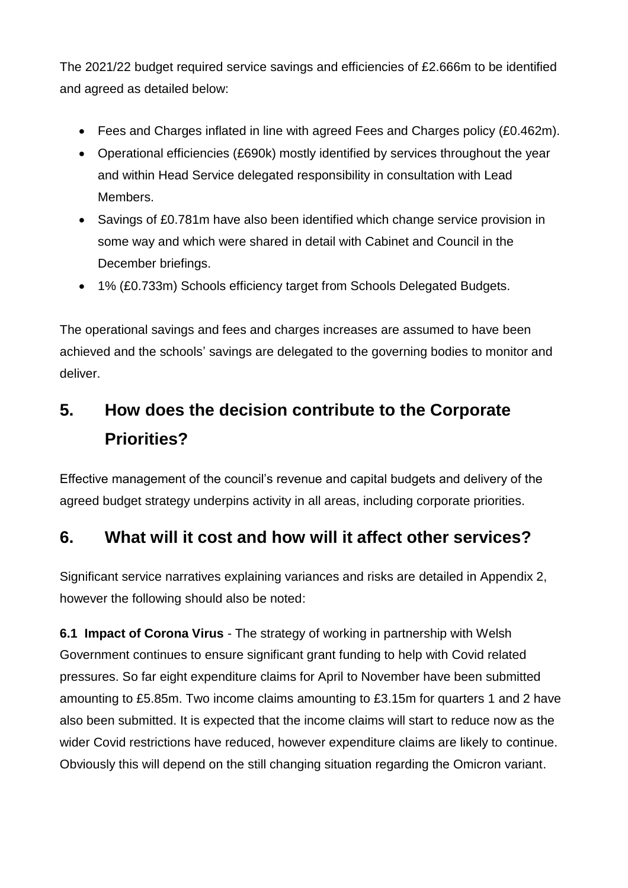The 2021/22 budget required service savings and efficiencies of £2.666m to be identified and agreed as detailed below:

- Fees and Charges inflated in line with agreed Fees and Charges policy (£0.462m).
- Operational efficiencies (£690k) mostly identified by services throughout the year and within Head Service delegated responsibility in consultation with Lead Members.
- Savings of £0.781m have also been identified which change service provision in some way and which were shared in detail with Cabinet and Council in the December briefings.
- 1% (£0.733m) Schools efficiency target from Schools Delegated Budgets.

The operational savings and fees and charges increases are assumed to have been achieved and the schools' savings are delegated to the governing bodies to monitor and deliver.

# **5. How does the decision contribute to the Corporate Priorities?**

Effective management of the council's revenue and capital budgets and delivery of the agreed budget strategy underpins activity in all areas, including corporate priorities.

## **6. What will it cost and how will it affect other services?**

Significant service narratives explaining variances and risks are detailed in Appendix 2, however the following should also be noted:

**6.1 Impact of Corona Virus** - The strategy of working in partnership with Welsh Government continues to ensure significant grant funding to help with Covid related pressures. So far eight expenditure claims for April to November have been submitted amounting to £5.85m. Two income claims amounting to £3.15m for quarters 1 and 2 have also been submitted. It is expected that the income claims will start to reduce now as the wider Covid restrictions have reduced, however expenditure claims are likely to continue. Obviously this will depend on the still changing situation regarding the Omicron variant.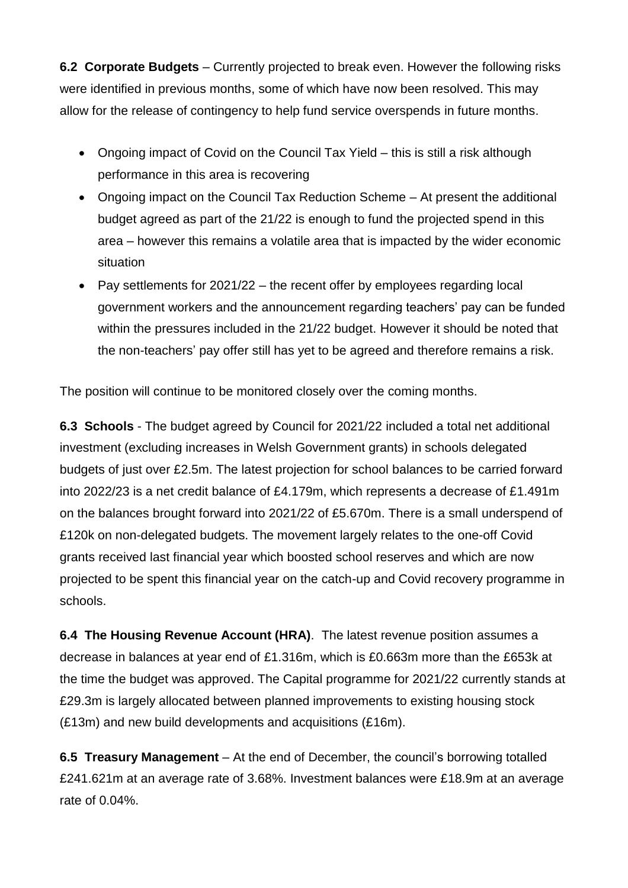**6.2 Corporate Budgets** – Currently projected to break even. However the following risks were identified in previous months, some of which have now been resolved. This may allow for the release of contingency to help fund service overspends in future months.

- Ongoing impact of Covid on the Council Tax Yield this is still a risk although performance in this area is recovering
- Ongoing impact on the Council Tax Reduction Scheme At present the additional budget agreed as part of the 21/22 is enough to fund the projected spend in this area – however this remains a volatile area that is impacted by the wider economic situation
- Pay settlements for 2021/22 the recent offer by employees regarding local government workers and the announcement regarding teachers' pay can be funded within the pressures included in the 21/22 budget. However it should be noted that the non-teachers' pay offer still has yet to be agreed and therefore remains a risk.

The position will continue to be monitored closely over the coming months.

**6.3 Schools** - The budget agreed by Council for 2021/22 included a total net additional investment (excluding increases in Welsh Government grants) in schools delegated budgets of just over £2.5m. The latest projection for school balances to be carried forward into 2022/23 is a net credit balance of £4.179m, which represents a decrease of £1.491m on the balances brought forward into 2021/22 of £5.670m. There is a small underspend of £120k on non-delegated budgets. The movement largely relates to the one-off Covid grants received last financial year which boosted school reserves and which are now projected to be spent this financial year on the catch-up and Covid recovery programme in schools.

**6.4 The Housing Revenue Account (HRA)**. The latest revenue position assumes a decrease in balances at year end of £1.316m, which is £0.663m more than the £653k at the time the budget was approved. The Capital programme for 2021/22 currently stands at £29.3m is largely allocated between planned improvements to existing housing stock (£13m) and new build developments and acquisitions (£16m).

**6.5 Treasury Management** – At the end of December, the council's borrowing totalled £241.621m at an average rate of 3.68%. Investment balances were £18.9m at an average rate of 0.04%.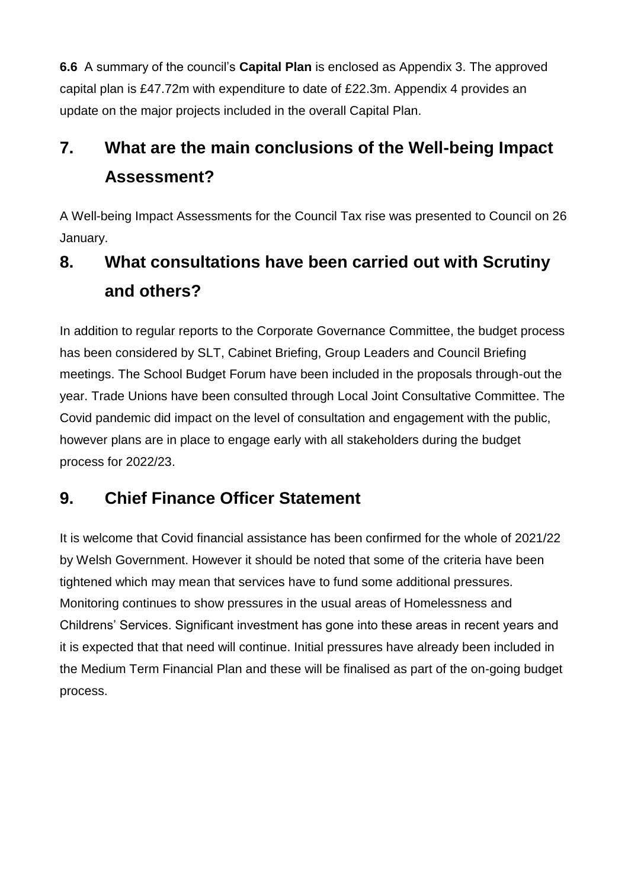**6.6** A summary of the council's **Capital Plan** is enclosed as Appendix 3. The approved capital plan is £47.72m with expenditure to date of £22.3m. Appendix 4 provides an update on the major projects included in the overall Capital Plan.

# **7. What are the main conclusions of the Well-being Impact Assessment?**

A Well-being Impact Assessments for the Council Tax rise was presented to Council on 26 January.

# **8. What consultations have been carried out with Scrutiny and others?**

In addition to regular reports to the Corporate Governance Committee, the budget process has been considered by SLT, Cabinet Briefing, Group Leaders and Council Briefing meetings. The School Budget Forum have been included in the proposals through-out the year. Trade Unions have been consulted through Local Joint Consultative Committee. The Covid pandemic did impact on the level of consultation and engagement with the public, however plans are in place to engage early with all stakeholders during the budget process for 2022/23.

## **9. Chief Finance Officer Statement**

It is welcome that Covid financial assistance has been confirmed for the whole of 2021/22 by Welsh Government. However it should be noted that some of the criteria have been tightened which may mean that services have to fund some additional pressures. Monitoring continues to show pressures in the usual areas of Homelessness and Childrens' Services. Significant investment has gone into these areas in recent years and it is expected that that need will continue. Initial pressures have already been included in the Medium Term Financial Plan and these will be finalised as part of the on-going budget process.